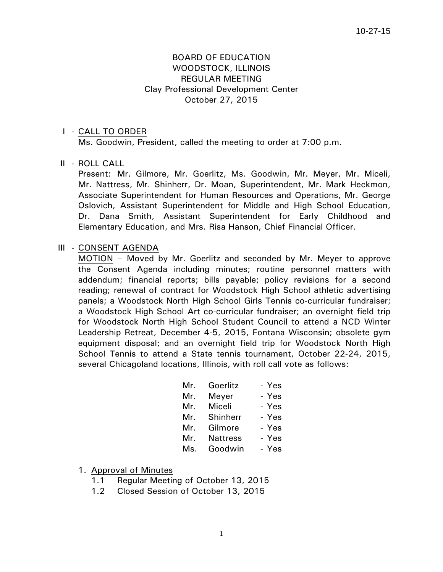# BOARD OF EDUCATION WOODSTOCK, ILLINOIS REGULAR MEETING Clay Professional Development Center October 27, 2015

### I - CALL TO ORDER

Ms. Goodwin, President, called the meeting to order at 7:00 p.m.

#### II - ROLL CALL

 Present: Mr. Gilmore, Mr. Goerlitz, Ms. Goodwin, Mr. Meyer, Mr. Miceli, Mr. Nattress, Mr. Shinherr, Dr. Moan, Superintendent, Mr. Mark Heckmon, Associate Superintendent for Human Resources and Operations, Mr. George Oslovich, Assistant Superintendent for Middle and High School Education, Dr. Dana Smith, Assistant Superintendent for Early Childhood and Elementary Education, and Mrs. Risa Hanson, Chief Financial Officer.

### III - CONSENT AGENDA

 MOTION – Moved by Mr. Goerlitz and seconded by Mr. Meyer to approve the Consent Agenda including minutes; routine personnel matters with addendum; financial reports; bills payable; policy revisions for a second reading; renewal of contract for Woodstock High School athletic advertising panels; a Woodstock North High School Girls Tennis co-curricular fundraiser; a Woodstock High School Art co-curricular fundraiser; an overnight field trip for Woodstock North High School Student Council to attend a NCD Winter Leadership Retreat, December 4-5, 2015, Fontana Wisconsin; obsolete gym equipment disposal; and an overnight field trip for Woodstock North High School Tennis to attend a State tennis tournament, October 22-24, 2015, several Chicagoland locations, Illinois, with roll call vote as follows:

| Mr. | Goerlitz        | - Yes |
|-----|-----------------|-------|
| Mr. | Meyer           | - Yes |
| Mr. | Miceli          | - Yes |
| Mr. | Shinherr        | - Yes |
| Mr. | Gilmore         | - Yes |
| Mr. | <b>Nattress</b> | - Yes |
| Ms. | Goodwin         | - Yes |

- 1. Approval of Minutes
	- 1.1 Regular Meeting of October 13, 2015
	- 1.2 Closed Session of October 13, 2015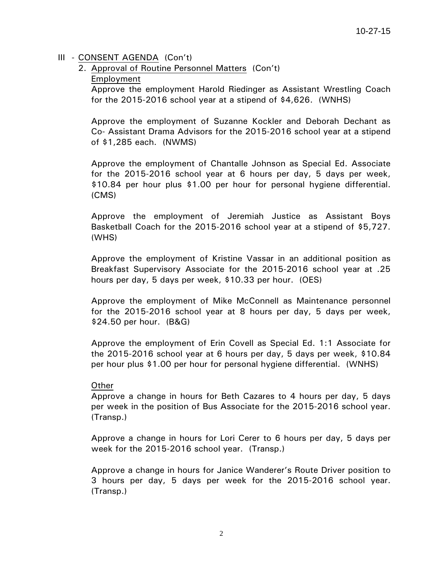### III - CONSENT AGENDA (Con't)

2. Approval of Routine Personnel Matters (Con't)

Employment

Approve the employment Harold Riedinger as Assistant Wrestling Coach for the 2015-2016 school year at a stipend of \$4,626. (WNHS)

Approve the employment of Suzanne Kockler and Deborah Dechant as Co- Assistant Drama Advisors for the 2015-2016 school year at a stipend of \$1,285 each. (NWMS)

Approve the employment of Chantalle Johnson as Special Ed. Associate for the 2015-2016 school year at 6 hours per day, 5 days per week, \$10.84 per hour plus \$1.00 per hour for personal hygiene differential. (CMS)

Approve the employment of Jeremiah Justice as Assistant Boys Basketball Coach for the 2015-2016 school year at a stipend of \$5,727. (WHS)

Approve the employment of Kristine Vassar in an additional position as Breakfast Supervisory Associate for the 2015-2016 school year at .25 hours per day, 5 days per week, \$10.33 per hour. (OES)

Approve the employment of Mike McConnell as Maintenance personnel for the 2015-2016 school year at 8 hours per day, 5 days per week, \$24.50 per hour. (B&G)

Approve the employment of Erin Covell as Special Ed. 1:1 Associate for the 2015-2016 school year at 6 hours per day, 5 days per week, \$10.84 per hour plus \$1.00 per hour for personal hygiene differential. (WNHS)

# **Other**

Approve a change in hours for Beth Cazares to 4 hours per day, 5 days per week in the position of Bus Associate for the 2015-2016 school year. (Transp.)

Approve a change in hours for Lori Cerer to 6 hours per day, 5 days per week for the 2015-2016 school year. (Transp.)

Approve a change in hours for Janice Wanderer's Route Driver position to 3 hours per day, 5 days per week for the 2015-2016 school year. (Transp.)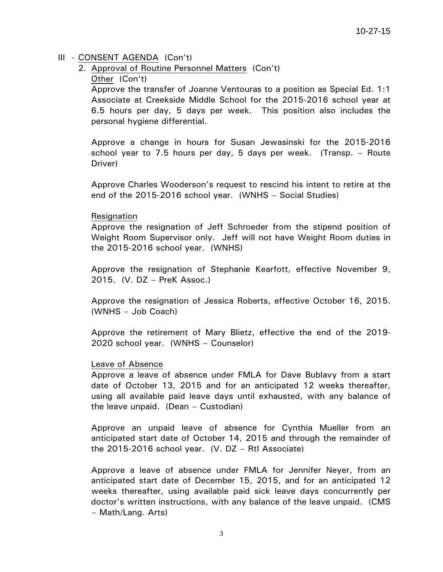# III - CONSENT AGENDA (Con't)

2. Approval of Routine Personnel Matters (Con't)

### Other (Con't)

Approve the transfer of Joanne Ventouras to a position as Special Ed. 1:1 Associate at Creekside Middle School for the 2015-2016 school year at 6.5 hours per day, 5 days per week. This position also includes the personal hygiene differential.

Approve a change in hours for Susan Jewasinski for the 2015-2016 school year to 7.5 hours per day, 5 days per week. (Transp. – Route Driver)

Approve Charles Wooderson's request to rescind his intent to retire at the end of the 2015-2016 school year. (WNHS – Social Studies)

### Resignation

Approve the resignation of Jeff Schroeder from the stipend position of Weight Room Supervisor only. Jeff will not have Weight Room duties in the 2015-2016 school year. (WNHS)

Approve the resignation of Stephanie Kearfott, effective November 9, 2015. (V. DZ – PreK Assoc.)

Approve the resignation of Jessica Roberts, effective October 16, 2015. (WNHS – Job Coach)

Approve the retirement of Mary Blietz, effective the end of the 2019- 2020 school year. (WNHS – Counselor)

### Leave of Absence

Approve a leave of absence under FMLA for Dave Bublavy from a start date of October 13, 2015 and for an anticipated 12 weeks thereafter, using all available paid leave days until exhausted, with any balance of the leave unpaid. (Dean – Custodian)

Approve an unpaid leave of absence for Cynthia Mueller from an anticipated start date of October 14, 2015 and through the remainder of the 2015-2016 school year. (V. DZ – RtI Associate)

Approve a leave of absence under FMLA for Jennifer Neyer, from an anticipated start date of December 15, 2015, and for an anticipated 12 weeks thereafter, using available paid sick leave days concurrently per doctor's written instructions, with any balance of the leave unpaid. (CMS – Math/Lang. Arts)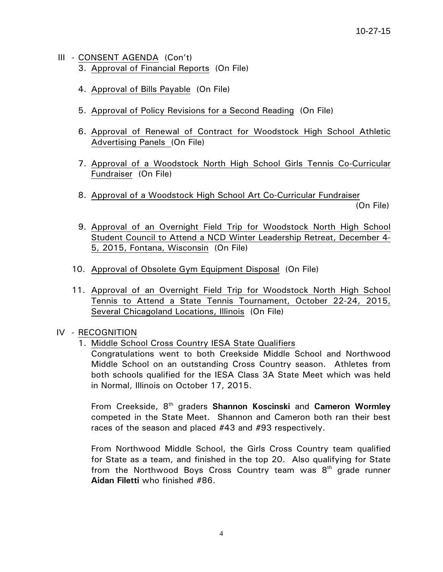- III CONSENT AGENDA (Con't) 3. Approval of Financial Reports (On File)
	- 4. Approval of Bills Payable (On File)
	- 5. Approval of Policy Revisions for a Second Reading (On File)
	- 6. Approval of Renewal of Contract for Woodstock High School Athletic Advertising Panels (On File)
	- 7. Approval of a Woodstock North High School Girls Tennis Co-Curricular Fundraiser (On File)
	- 8. Approval of a Woodstock High School Art Co-Curricular Fundraiser

(On File)

- 9. Approval of an Overnight Field Trip for Woodstock North High School Student Council to Attend a NCD Winter Leadership Retreat, December 4- 5, 2015, Fontana, Wisconsin (On File)
- 10. Approval of Obsolete Gym Equipment Disposal (On File)
- 11. Approval of an Overnight Field Trip for Woodstock North High School Tennis to Attend a State Tennis Tournament, October 22-24, 2015, Several Chicagoland Locations, Illinois (On File)

# IV - RECOGNITION

1. Middle School Cross Country IESA State Qualifiers

Congratulations went to both Creekside Middle School and Northwood Middle School on an outstanding Cross Country season. Athletes from both schools qualified for the IESA Class 3A State Meet which was held in Normal, Illinois on October 17, 2015.

From Creekside, 8th graders **Shannon Koscinski** and **Cameron Wormley** competed in the State Meet. Shannon and Cameron both ran their best races of the season and placed #43 and #93 respectively.

From Northwood Middle School, the Girls Cross Country team qualified for State as a team, and finished in the top 20. Also qualifying for State from the Northwood Boys Cross Country team was  $8<sup>th</sup>$  grade runner **Aidan Filetti** who finished #86.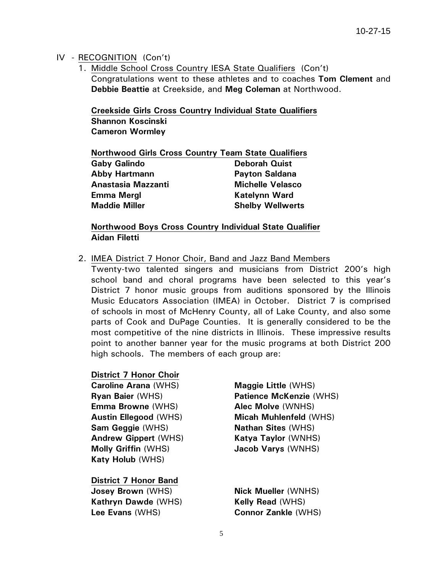# IV - RECOGNITION (Con't)

1. Middle School Cross Country IESA State Qualifiers (Con't) Congratulations went to these athletes and to coaches **Tom Clement** and **Debbie Beattie** at Creekside, and **Meg Coleman** at Northwood.

**Creekside Girls Cross Country Individual State Qualifiers Shannon Koscinski Cameron Wormley** 

| <b>Northwood Girls Cross Country Team State Qualifiers</b> |                         |
|------------------------------------------------------------|-------------------------|
| <b>Gaby Galindo</b>                                        | <b>Deborah Quist</b>    |
| <b>Abby Hartmann</b>                                       | <b>Payton Saldana</b>   |
| Anastasia Mazzanti                                         | <b>Michelle Velasco</b> |
| <b>Emma Mergl</b>                                          | <b>Katelynn Ward</b>    |
| <b>Maddie Miller</b>                                       | <b>Shelby Wellwerts</b> |

**Northwood Boys Cross Country Individual State Qualifier Aidan Filetti** 

2. IMEA District 7 Honor Choir, Band and Jazz Band Members

Twenty-two talented singers and musicians from District 200's high school band and choral programs have been selected to this year's District 7 honor music groups from auditions sponsored by the Illinois Music Educators Association (IMEA) in October. District 7 is comprised of schools in most of McHenry County, all of Lake County, and also some parts of Cook and DuPage Counties. It is generally considered to be the most competitive of the nine districts in Illinois. These impressive results point to another banner year for the music programs at both District 200 high schools. The members of each group are:

### **District 7 Honor Choir**

**Caroline Arana** (WHS) **Maggie Little** (WHS) **Emma Browne** (WHS) **Alec Molve** (WNHS) **Sam Geggie** (WHS) **Nathan Sites** (WHS) **Andrew Gippert** (WHS) **Katya Taylor** (WNHS) **Molly Griffin** (WHS) **Jacob Varys** (WNHS) **Katy Holub** (WHS)

**District 7 Honor Band Josey Brown** (WHS) **Nick Mueller** (WNHS) **Kathryn Dawde** (WHS) **Kelly Read** (WHS) **Lee Evans** (WHS) **Connor Zankle** (WHS)

**Ryan Baier** (WHS) **Patience McKenzie** (WHS) **Austin Ellegood** (WHS) **Micah Muhlenfeld** (WHS)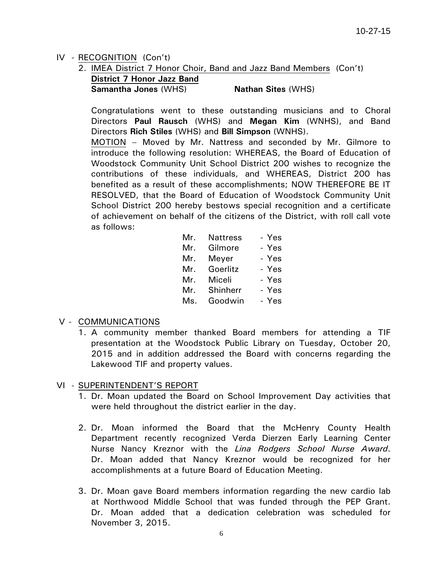# IV - RECOGNITION (Con't)

- 2. IMEA District 7 Honor Choir, Band and Jazz Band Members (Con't) **District 7 Honor Jazz Band** 
	- **Samantha Jones** (WHS) **Nathan Sites** (WHS)

Congratulations went to these outstanding musicians and to Choral Directors **Paul Rausch** (WHS) and **Megan Kim** (WNHS), and Band Directors **Rich Stiles** (WHS) and **Bill Simpson** (WNHS).

MOTION – Moved by Mr. Nattress and seconded by Mr. Gilmore to introduce the following resolution: WHEREAS, the Board of Education of Woodstock Community Unit School District 200 wishes to recognize the contributions of these individuals, and WHEREAS, District 200 has benefited as a result of these accomplishments; NOW THEREFORE BE IT RESOLVED, that the Board of Education of Woodstock Community Unit School District 200 hereby bestows special recognition and a certificate of achievement on behalf of the citizens of the District, with roll call vote as follows:

| Mr. | Nattress | - Yes |
|-----|----------|-------|
| Mr. | Gilmore  | - Yes |
| Mr. | Meyer    | - Yes |
| Mr. | Goerlitz | - Yes |
| Mr. | Miceli   | - Yes |
| Mr. | Shinherr | - Yes |
| Ms. | Goodwin  | - Yes |

# V - COMMUNICATIONS

1. A community member thanked Board members for attending a TIF presentation at the Woodstock Public Library on Tuesday, October 20, 2015 and in addition addressed the Board with concerns regarding the Lakewood TIF and property values.

# VI - SUPERINTENDENT'S REPORT

- 1. Dr. Moan updated the Board on School Improvement Day activities that were held throughout the district earlier in the day.
- 2. Dr. Moan informed the Board that the McHenry County Health Department recently recognized Verda Dierzen Early Learning Center Nurse Nancy Kreznor with the *Lina Rodgers School Nurse Award*. Dr. Moan added that Nancy Kreznor would be recognized for her accomplishments at a future Board of Education Meeting.
- 3. Dr. Moan gave Board members information regarding the new cardio lab at Northwood Middle School that was funded through the PEP Grant. Dr. Moan added that a dedication celebration was scheduled for November 3, 2015.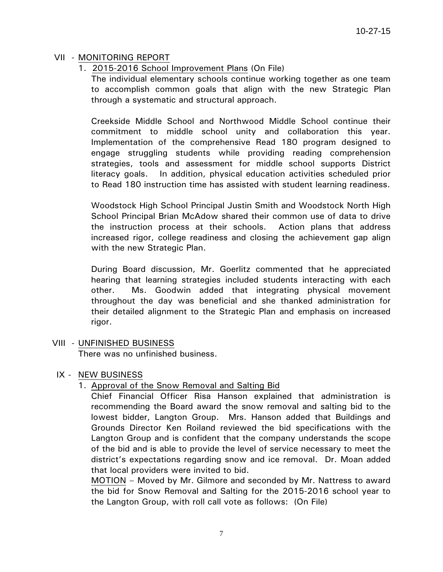# VII - MONITORING REPORT

1. 2015-2016 School Improvement Plans (On File)

 The individual elementary schools continue working together as one team to accomplish common goals that align with the new Strategic Plan through a systematic and structural approach.

 Creekside Middle School and Northwood Middle School continue their commitment to middle school unity and collaboration this year. Implementation of the comprehensive Read 180 program designed to engage struggling students while providing reading comprehension strategies, tools and assessment for middle school supports District literacy goals. In addition, physical education activities scheduled prior to Read 180 instruction time has assisted with student learning readiness.

 Woodstock High School Principal Justin Smith and Woodstock North High School Principal Brian McAdow shared their common use of data to drive the instruction process at their schools. Action plans that address increased rigor, college readiness and closing the achievement gap align with the new Strategic Plan.

 During Board discussion, Mr. Goerlitz commented that he appreciated hearing that learning strategies included students interacting with each other. Ms. Goodwin added that integrating physical movement throughout the day was beneficial and she thanked administration for their detailed alignment to the Strategic Plan and emphasis on increased rigor.

# VIII - UNFINISHED BUSINESS

There was no unfinished business.

# IX - NEW BUSINESS

# 1. Approval of the Snow Removal and Salting Bid

Chief Financial Officer Risa Hanson explained that administration is recommending the Board award the snow removal and salting bid to the lowest bidder, Langton Group. Mrs. Hanson added that Buildings and Grounds Director Ken Roiland reviewed the bid specifications with the Langton Group and is confident that the company understands the scope of the bid and is able to provide the level of service necessary to meet the district's expectations regarding snow and ice removal. Dr. Moan added that local providers were invited to bid.

MOTION – Moved by Mr. Gilmore and seconded by Mr. Nattress to award the bid for Snow Removal and Salting for the 2015-2016 school year to the Langton Group, with roll call vote as follows: (On File)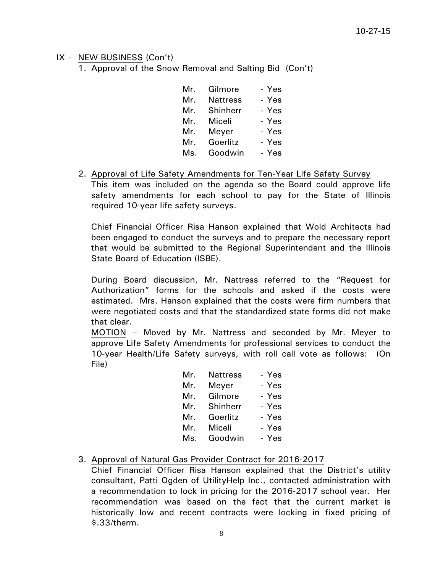### IX - NEW BUSINESS (Con't)

1. Approval of the Snow Removal and Salting Bid (Con't)

| Mr. | Gilmore         | - Yes |
|-----|-----------------|-------|
| Mr. | <b>Nattress</b> | - Yes |
| Mr. | Shinherr        | - Yes |
| Mr. | Miceli          | - Yes |
| Mr. | Meyer           | - Yes |
| Mr. | Goerlitz        | - Yes |
| Ms. | Goodwin         | - Yes |

2. Approval of Life Safety Amendments for Ten-Year Life Safety Survey This item was included on the agenda so the Board could approve life safety amendments for each school to pay for the State of Illinois required 10-year life safety surveys.

Chief Financial Officer Risa Hanson explained that Wold Architects had been engaged to conduct the surveys and to prepare the necessary report that would be submitted to the Regional Superintendent and the Illinois State Board of Education (ISBE).

During Board discussion, Mr. Nattress referred to the "Request for Authorization" forms for the schools and asked if the costs were estimated. Mrs. Hanson explained that the costs were firm numbers that were negotiated costs and that the standardized state forms did not make that clear.

MOTION – Moved by Mr. Nattress and seconded by Mr. Meyer to approve Life Safety Amendments for professional services to conduct the 10-year Health/Life Safety surveys, with roll call vote as follows: (On File)

| Mr. | <b>Nattress</b> | - Yes |
|-----|-----------------|-------|
| Mr. | Meyer           | - Yes |
| Mr. | Gilmore         | - Yes |
| Mr. | Shinherr        | - Yes |
| Mr. | Goerlitz        | - Yes |
| Mr. | Miceli          | - Yes |
| Ms. | Goodwin         | - Yes |

# 3. Approval of Natural Gas Provider Contract for 2016-2017

Chief Financial Officer Risa Hanson explained that the District's utility consultant, Patti Ogden of UtilityHelp Inc., contacted administration with a recommendation to lock in pricing for the 2016-2017 school year. Her recommendation was based on the fact that the current market is historically low and recent contracts were locking in fixed pricing of \$.33/therm.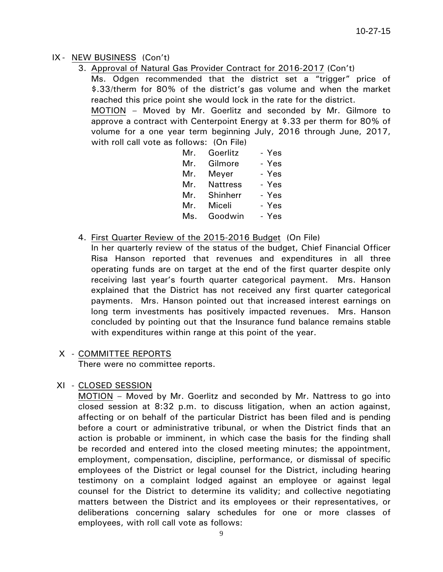# IX - NEW BUSINESS (Con't)

3. Approval of Natural Gas Provider Contract for 2016-2017 (Con't)

Ms. Odgen recommended that the district set a "trigger" price of \$.33/therm for 80% of the district's gas volume and when the market reached this price point she would lock in the rate for the district.

MOTION – Moved by Mr. Goerlitz and seconded by Mr. Gilmore to approve a contract with Centerpoint Energy at \$.33 per therm for 80% of volume for a one year term beginning July, 2016 through June, 2017, with roll call vote as follows: (On File)

| Mr. | Goerlitz        | - Yes |
|-----|-----------------|-------|
| Mr. | Gilmore         | - Yes |
| Mr. | Meyer           | - Yes |
| Mr. | <b>Nattress</b> | - Yes |
| Mr. | Shinherr        | - Yes |
| Mr. | Miceli          | - Yes |
| Ms. | Goodwin         | - Yes |

4. First Quarter Review of the 2015-2016 Budget (On File)

In her quarterly review of the status of the budget, Chief Financial Officer Risa Hanson reported that revenues and expenditures in all three operating funds are on target at the end of the first quarter despite only receiving last year's fourth quarter categorical payment. Mrs. Hanson explained that the District has not received any first quarter categorical payments. Mrs. Hanson pointed out that increased interest earnings on long term investments has positively impacted revenues. Mrs. Hanson concluded by pointing out that the Insurance fund balance remains stable with expenditures within range at this point of the year.

# X - COMMITTEE REPORTS

There were no committee reports.

# XI - CLOSED SESSION

 MOTION – Moved by Mr. Goerlitz and seconded by Mr. Nattress to go into closed session at 8:32 p.m. to discuss litigation, when an action against, affecting or on behalf of the particular District has been filed and is pending before a court or administrative tribunal, or when the District finds that an action is probable or imminent, in which case the basis for the finding shall be recorded and entered into the closed meeting minutes; the appointment, employment, compensation, discipline, performance, or dismissal of specific employees of the District or legal counsel for the District, including hearing testimony on a complaint lodged against an employee or against legal counsel for the District to determine its validity; and collective negotiating matters between the District and its employees or their representatives, or deliberations concerning salary schedules for one or more classes of employees, with roll call vote as follows: